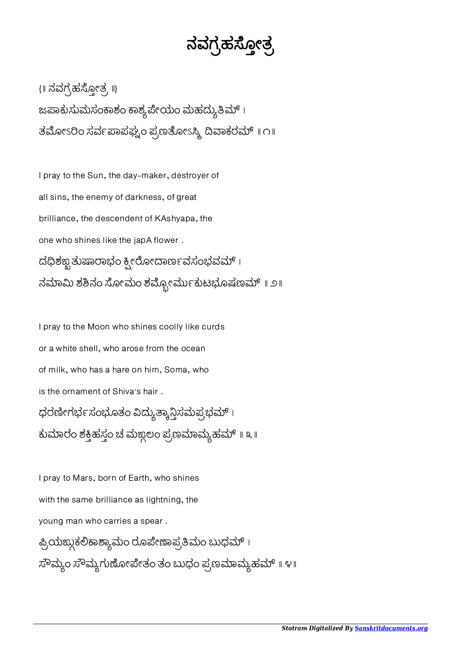## ನವಗಹೋತ

{॥ ನವಗ್ರಹಸೋತ್ಸ ॥}  $\alpha$ ಪಾಕುಸುಮಸಂಕಾಶಂ ಕಾಶ್ಯಪೇಯಂ ಮಹದ್ಯುತಿಮ್ । ತಮೋಽರಿಂ ಸರ್ವಪಾಪಘ್ನಂ ಪ್ರಣತೋಽಸ್ಮಿ ದಿವಾಕರಮ್ ॥ ೧॥

I pray to the Sun, the day-maker, destroyer of all sins, the enemy of darkness, of great brilliance, the descendent of KAshyapa, the one who shines like the japA flower . ದಧಿಶಙ್ವತುಷಾರಾಭಂ ಕ್ಸೀರೋದಾರ್ಣವಸಂಭವಮ್ । ನಮಾಮಿ ಶಶಿನಂ ಸೋಮಂ ಶಮ್ಬೋರ್ಮುಕುಟಭೂಷಣಮ್ ॥ ೨॥

I pray to the Moon who shines coolly like curds or a white shell, who arose from the ocean of milk, who has a hare on him, Soma, who is the ornament of Shiva's hair . ಧರಣೀಗರ್ಭಸಂಭೂತಂ ವಿದ್ಯುತ್ಕಾನ್ಗಿಸಮಪ್ರಭಮ್ । ಕುಮಾರಂ ಶಕ್ತಿಹಸ್ತಂ ಚ ಮಙ್ದಲಂ ಪ್ರಣಮಾಮ್ಯಹಮ್ ॥ ೩ ॥

I pray to Mars, born of Earth, who shines with the same brilliance as lightning, the young man who carries a spear . ಪ್ಪಿಯಙ್ದುಕಲಿಕಾಶ್ಯಾಮಂ ರೂಪೇಣಾಪ್ಪತಿಮಂ ಬುಧಮ್ । ಸೌಮ್ಯಂ ಸೌಮ್ಯಗುಣೋಪೇತಂ ತಂ ಬುಧಂ ಪ್ರಣಮಾಮ್ಯಹಮ್ ॥ ೪॥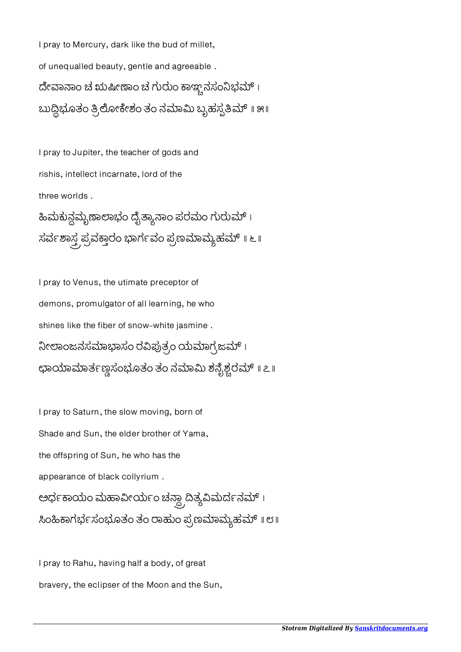I pray to Mercury, dark like the bud of millet, of unequalled beauty, gentle and agreeable . ದೇವಾನಾಂ ಚ ಋಷೀಣಾಂ ಚ ಗುರುಂ ಕಾಞ್ಚನಸಂನಿಭಮ್ । ಬುದ್ಧಿಭೂತಂ ತ್ರಿಲೋಕೇಶಂ ತಂ ನಮಾಮಿ ಬೃಹಸ್ಪತಿಮ್ ॥ ೫॥

I pray to Jupiter, the teacher of gods and rishis, intellect incarnate, lord of the three worlds .

ಹಿಮಕುನ್ದಮೃಣಾಲಾಭಂ ದೈತ್ಯಾನಾಂ ಪರಮಂ ಗುರುಮ್ । ಸರ್ವಶಾಸ್ತ್ರಪ್ರವಕ್ತಾರಂ ಭಾರ್ಗವಂ ಪ್ರಣಮಾಮ್ಯಹಮ್ ॥ ೬ ॥

I pray to Venus, the utimate preceptor of demons, promulgator of all learning, he who shines like the fiber of snow-white jasmine . ನೀಲಾಂಜನಸಮಾಭಾಸಂ ರವಿಪುತ್ರಂ ಯಮಾಗ್ರಜಮ್ । ಛಾಯಾಮಾರ್ತಣ್ಣಸಂಭೂತಂ ತಂ ನಮಾಮಿ ಶನೈಶ್ಚರಮ್ ॥ ೭॥

I pray to Saturn, the slow moving, born of Shade and Sun, the elder brother of Yama, the offspring of Sun, he who has the appearance of black collyrium . ಅರ್ಧಕಾಯಂ ಮಹಾವೀರ್ಯಂ ಚನ್ದಾ ದಿತ್ಯವಿಮರ್ದನಮ್ । ಸಿಂಹಿಕಾಗರ್ಭಸಂಭೂತಂ ತಂ ರಾಹುಂ ಪ್ರಣಮಾಮ್ಯಹಮ್ ॥ ೮॥

I pray to Rahu, having half a body, of great bravery, the eclipser of the Moon and the Sun,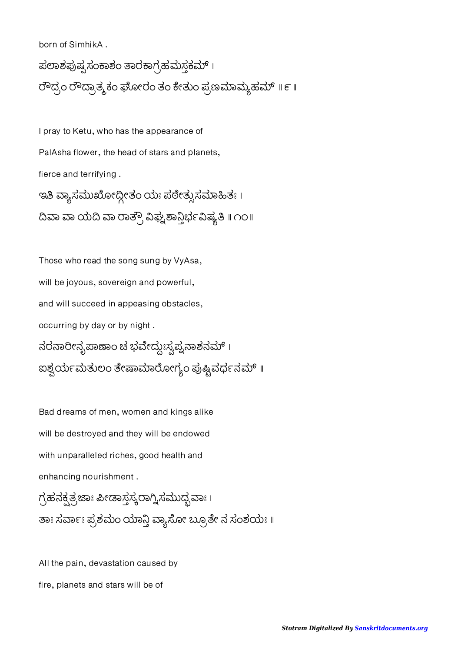born of SimhikA . ಪಲಾಶಪುಷ್ಪಸಂಕಾಶಂ ತಾರಕಾಗ್ರಹಮಸ್ತಕಮ್ । ರೌದ್ರಂ ರೌದ್ರಾತ್ಮಕಂ ಘೋರಂ ತಂ ಕೇತುಂ ಪ್ರಣಮಾಮ್ಯಹಮ್ ॥ ೯॥

I pray to Ketu, who has the appearance of PalAsha flower, the head of stars and planets, fierce and terrifying . ಇತಿ ವ್ಯಾಸಮುಖೋದ್ದೀತಂ ಯಃ ಪರೇತ್ಸುಸಮಾಹಿತಃ । ದಿವಾ ವಾ ಯದಿ ವಾ ರಾತ್ರೌ ವಿಘ್ನಶಾನ್ತಿರ್ಭವಿಷ್ಯತಿ ॥ ೧೦॥

Those who read the song sung by VyAsa, will be joyous, sovereign and powerful, and will succeed in appeasing obstacles, occurring by day or by night . ನರನಾರೀನೃಪಾಣಾಂ ಚ ಭವೇದ್ದುಃಸ್ವಪ್ನನಾಶನಮ್ । ಐಶ್ವರ್ಯಮತುಲಂ ತೇಷಾಮಾರೋಗ್ಯಂ ಪುಷ್ಟಿವರ್ಧನಮ್ <mark>။</mark>

Bad dreams of men, women and kings alike will be destroyed and they will be endowed with unparalleled riches, good health and enhancing nourishment .

ಗ್ರಹನಕ್ಷತ್ರಜಾಃ ಪೀಡಾಸ್ತಸ್ಯರಾಗ್ನಿಸಮುದ್ಭವಾಃ । ತಾಃ ಸರ್ವಾಃ ಪ್ರಶಮಂ ಯಾನ್ಗಿ ವ್ಯಾಸೋ ಬ್ರೂತೇ ನ ಸಂಶಯಃ ॥

All the pain, devastation caused by fire, planets and stars will be of